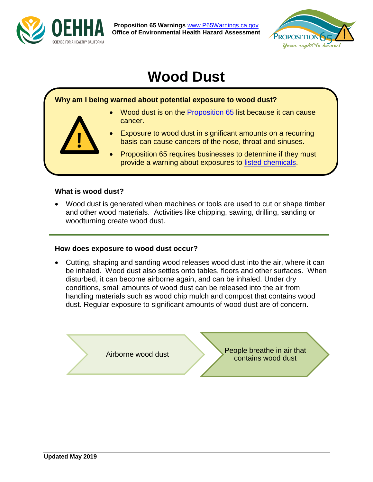

**Proposition 65 Warnings** [www.P65Warnings.ca.gov](http://www.p65warnings.ca.gov/) **Office of Environmental Health Hazard Assessment**



# **Wood Dust**

# **Why am I being warned about potential exposure to wood dust?**

- Wood dust is on the [Proposition 65](https://www.p65warnings.ca.gov/faq) list because it can cause cancer.
- Exposure to wood dust in significant amounts on a recurring basis can cause cancers of the nose, throat and sinuses.
- Proposition 65 requires businesses to determine if they must provide a warning about exposures to [listed chemicals.](https://www.p65warnings.ca.gov/chemicals)

#### **What is wood dust?**

**!** 

 Wood dust is generated when machines or tools are used to cut or shape timber and other wood materials. Activities like chipping, sawing, drilling, sanding or woodturning create wood dust.

#### **How does exposure to wood dust occur?**

 Cutting, shaping and sanding wood releases wood dust into the air, where it can be inhaled. Wood dust also settles onto tables, floors and other surfaces. When disturbed, it can become airborne again, and can be inhaled. Under dry conditions, small amounts of wood dust can be released into the air from handling materials such as wood chip mulch and compost that contains wood dust. Regular exposure to significant amounts of wood dust are of concern.

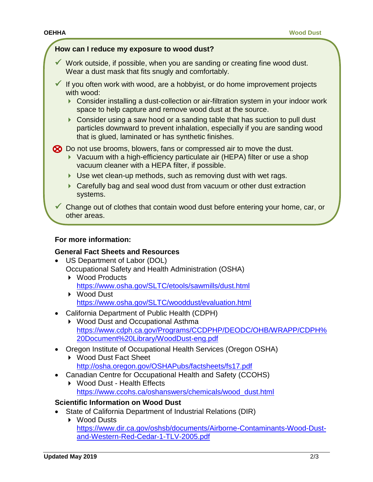#### **How can I reduce my exposure to wood dust?**

- $\checkmark$  Work outside, if possible, when you are sanding or creating fine wood dust. Wear a dust mask that fits snugly and comfortably.
- If you often work with wood, are a hobbyist, or do home improvement projects with wood:
	- ▶ Consider installing a dust-collection or air-filtration system in your indoor work space to help capture and remove wood dust at the source.
	- ▶ Consider using a saw hood or a sanding table that has suction to pull dust particles downward to prevent inhalation, especially if you are sanding wood that is glued, laminated or has synthetic finishes.

Do not use brooms, blowers, fans or compressed air to move the dust.

- ▶ Vacuum with a high-efficiency particulate air (HEPA) filter or use a shop vacuum cleaner with a HEPA filter, if possible.
- ▶ Use wet clean-up methods, such as removing dust with wet rags.
- Carefully bag and seal wood dust from vacuum or other dust extraction systems.

 $\checkmark$  Change out of clothes that contain wood dust before entering your home, car, or other areas.

#### **For more information:**

#### **General Fact Sheets and Resources**

- US Department of Labor (DOL) Occupational Safety and Health Administration (OSHA)
	- ▶ Wood Products <https://www.osha.gov/SLTC/etools/sawmills/dust.html>
	- ▶ Wood Dust <https://www.osha.gov/SLTC/wooddust/evaluation.html>
- California Department of Public Health (CDPH)
	- ▶ Wood Dust and Occupational Asthma [https://www.cdph.ca.gov/Programs/CCDPHP/DEODC/OHB/WRAPP/CDPH%](https://www.cdph.ca.gov/Programs/CCDPHP/DEODC/OHB/WRAPP/CDPH%20Document%20Library/WoodDust-eng.pdf) [20Document%20Library/WoodDust-eng.pdf](https://www.cdph.ca.gov/Programs/CCDPHP/DEODC/OHB/WRAPP/CDPH%20Document%20Library/WoodDust-eng.pdf)
- Oregon Institute of Occupational Health Services (Oregon OSHA)
	- ▶ Wood Dust Fact Sheet <http://osha.oregon.gov/OSHAPubs/factsheets/fs17.pdf>
- Canadian Centre for Occupational Health and Safety (CCOHS)
	- ▶ Wood Dust Health Effects [https://www.ccohs.ca/oshanswers/chemicals/wood\\_dust.html](https://www.ccohs.ca/oshanswers/chemicals/wood_dust.html)

### **Scientific Information on Wood Dust**

- State of California Department of Industrial Relations (DIR)
	- ▶ Wood Dusts [https://www.dir.ca.gov/oshsb/documents/Airborne-Contaminants-Wood-Dust](https://www.dir.ca.gov/oshsb/documents/Airborne-Contaminants-Wood-Dust-and-Western-Red-Cedar-1-TLV-2005.pdf)[and-Western-Red-Cedar-1-TLV-2005.pdf](https://www.dir.ca.gov/oshsb/documents/Airborne-Contaminants-Wood-Dust-and-Western-Red-Cedar-1-TLV-2005.pdf)